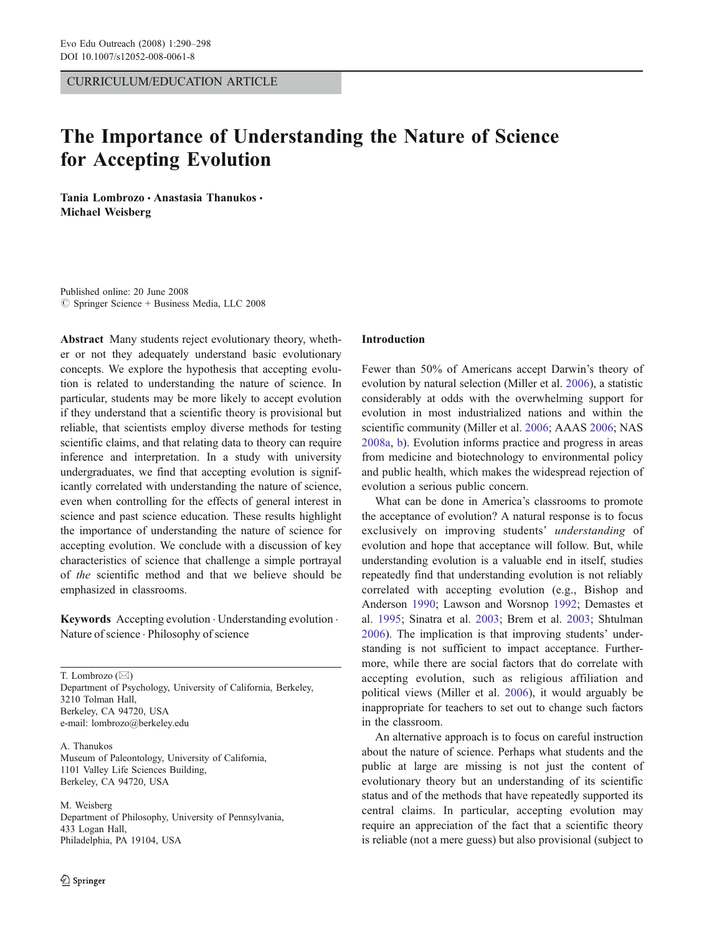CURRICULUM/EDUCATION ARTICLE

# The Importance of Understanding the Nature of Science for Accepting Evolution

Tania Lombrozo · Anastasia Thanukos · Michael Weisberg

Published online: 20 June 2008  $\oslash$  Springer Science + Business Media, LLC 2008

Abstract Many students reject evolutionary theory, whether or not they adequately understand basic evolutionary concepts. We explore the hypothesis that accepting evolution is related to understanding the nature of science. In particular, students may be more likely to accept evolution if they understand that a scientific theory is provisional but reliable, that scientists employ diverse methods for testing scientific claims, and that relating data to theory can require inference and interpretation. In a study with university undergraduates, we find that accepting evolution is significantly correlated with understanding the nature of science, even when controlling for the effects of general interest in science and past science education. These results highlight the importance of understanding the nature of science for accepting evolution. We conclude with a discussion of key characteristics of science that challenge a simple portrayal of the scientific method and that we believe should be emphasized in classrooms.

Keywords Accepting evolution . Understanding evolution . Nature of science . Philosophy of science

T. Lombrozo ( $\boxtimes$ ) Department of Psychology, University of California, Berkeley, 3210 Tolman Hall, Berkeley, CA 94720, USA e-mail: lombrozo@berkeley.edu

A. Thanukos Museum of Paleontology, University of California, 1101 Valley Life Sciences Building, Berkeley, CA 94720, USA

M. Weisberg Department of Philosophy, University of Pennsylvania, 433 Logan Hall, Philadelphia, PA 19104, USA

## Introduction

Fewer than 50% of Americans accept Darwin's theory of evolution by natural selection (Miller et al. [2006\)](#page-8-0), a statistic considerably at odds with the overwhelming support for evolution in most industrialized nations and within the scientific community (Miller et al. [2006](#page-8-0); AAAS [2006](#page-7-0); NAS [2008a](#page-8-0), [b\)](#page-8-0). Evolution informs practice and progress in areas from medicine and biotechnology to environmental policy and public health, which makes the widespread rejection of evolution a serious public concern.

What can be done in America's classrooms to promote the acceptance of evolution? A natural response is to focus exclusively on improving students' understanding of evolution and hope that acceptance will follow. But, while understanding evolution is a valuable end in itself, studies repeatedly find that understanding evolution is not reliably correlated with accepting evolution (e.g., Bishop and Anderson [1990;](#page-7-0) Lawson and Worsnop [1992](#page-7-0); Demastes et al. [1995;](#page-7-0) Sinatra et al. [2003;](#page-8-0) Brem et al. [2003;](#page-7-0) Shtulman [2006](#page-8-0)). The implication is that improving students' understanding is not sufficient to impact acceptance. Furthermore, while there are social factors that do correlate with accepting evolution, such as religious affiliation and political views (Miller et al. [2006](#page-8-0)), it would arguably be inappropriate for teachers to set out to change such factors in the classroom.

An alternative approach is to focus on careful instruction about the nature of science. Perhaps what students and the public at large are missing is not just the content of evolutionary theory but an understanding of its scientific status and of the methods that have repeatedly supported its central claims. In particular, accepting evolution may require an appreciation of the fact that a scientific theory is reliable (not a mere guess) but also provisional (subject to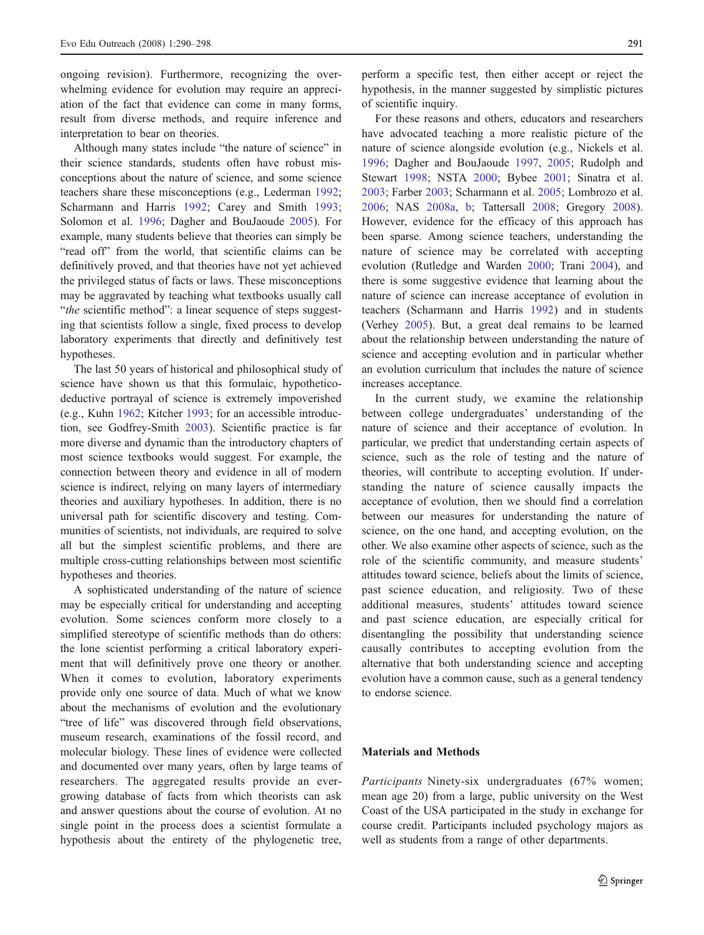ongoing revision). Furthermore, recognizing the overwhelming evidence for evolution may require an appreciation of the fact that evidence can come in many forms, result from diverse methods, and require inference and interpretation to bear on theories.

Although many states include "the nature of science" in their science standards, students often have robust misconceptions about the nature of science, and some science teachers share these misconceptions (e.g., Lederman [1992](#page-7-0); Scharmann and Harris [1992](#page-8-0); Carey and Smith [1993](#page-7-0); Solomon et al. [1996;](#page-8-0) Dagher and BouJaoude [2005](#page-7-0)). For example, many students believe that theories can simply be "read off" from the world, that scientific claims can be definitively proved, and that theories have not yet achieved the privileged status of facts or laws. These misconceptions may be aggravated by teaching what textbooks usually call "the scientific method": a linear sequence of steps suggesting that scientists follow a single, fixed process to develop laboratory experiments that directly and definitively test hypotheses.

The last 50 years of historical and philosophical study of science have shown us that this formulaic, hypotheticodeductive portrayal of science is extremely impoverished (e.g., Kuhn [1962](#page-7-0); Kitcher [1993](#page-7-0); for an accessible introduction, see Godfrey-Smith [2003\)](#page-7-0). Scientific practice is far more diverse and dynamic than the introductory chapters of most science textbooks would suggest. For example, the connection between theory and evidence in all of modern science is indirect, relying on many layers of intermediary theories and auxiliary hypotheses. In addition, there is no universal path for scientific discovery and testing. Communities of scientists, not individuals, are required to solve all but the simplest scientific problems, and there are multiple cross-cutting relationships between most scientific hypotheses and theories.

A sophisticated understanding of the nature of science may be especially critical for understanding and accepting evolution. Some sciences conform more closely to a simplified stereotype of scientific methods than do others: the lone scientist performing a critical laboratory experiment that will definitively prove one theory or another. When it comes to evolution, laboratory experiments provide only one source of data. Much of what we know about the mechanisms of evolution and the evolutionary "tree of life" was discovered through field observations, museum research, examinations of the fossil record, and molecular biology. These lines of evidence were collected and documented over many years, often by large teams of researchers. The aggregated results provide an evergrowing database of facts from which theorists can ask and answer questions about the course of evolution. At no single point in the process does a scientist formulate a hypothesis about the entirety of the phylogenetic tree,

perform a specific test, then either accept or reject the hypothesis, in the manner suggested by simplistic pictures of scientific inquiry.

For these reasons and others, educators and researchers have advocated teaching a more realistic picture of the nature of science alongside evolution (e.g., Nickels et al. [1996](#page-8-0); Dagher and BouJaoude [1997,](#page-7-0) [2005](#page-7-0); Rudolph and Stewart [1998;](#page-8-0) NSTA [2000;](#page-8-0) Bybee [2001](#page-7-0); Sinatra et al. [2003](#page-8-0); Farber [2003](#page-7-0); Scharmann et al. [2005](#page-8-0); Lombrozo et al. [2006](#page-7-0); NAS [2008a](#page-8-0), [b](#page-8-0); Tattersall [2008;](#page-8-0) Gregory [2008\)](#page-7-0). However, evidence for the efficacy of this approach has been sparse. Among science teachers, understanding the nature of science may be correlated with accepting evolution (Rutledge and Warden [2000](#page-8-0); Trani [2004\)](#page-8-0), and there is some suggestive evidence that learning about the nature of science can increase acceptance of evolution in teachers (Scharmann and Harris [1992\)](#page-8-0) and in students (Verhey [2005\)](#page-8-0). But, a great deal remains to be learned about the relationship between understanding the nature of science and accepting evolution and in particular whether an evolution curriculum that includes the nature of science increases acceptance.

In the current study, we examine the relationship between college undergraduates' understanding of the nature of science and their acceptance of evolution. In particular, we predict that understanding certain aspects of science, such as the role of testing and the nature of theories, will contribute to accepting evolution. If understanding the nature of science causally impacts the acceptance of evolution, then we should find a correlation between our measures for understanding the nature of science, on the one hand, and accepting evolution, on the other. We also examine other aspects of science, such as the role of the scientific community, and measure students' attitudes toward science, beliefs about the limits of science, past science education, and religiosity. Two of these additional measures, students' attitudes toward science and past science education, are especially critical for disentangling the possibility that understanding science causally contributes to accepting evolution from the alternative that both understanding science and accepting evolution have a common cause, such as a general tendency to endorse science.

# Materials and Methods

Participants Ninety-six undergraduates (67% women; mean age 20) from a large, public university on the West Coast of the USA participated in the study in exchange for course credit. Participants included psychology majors as well as students from a range of other departments.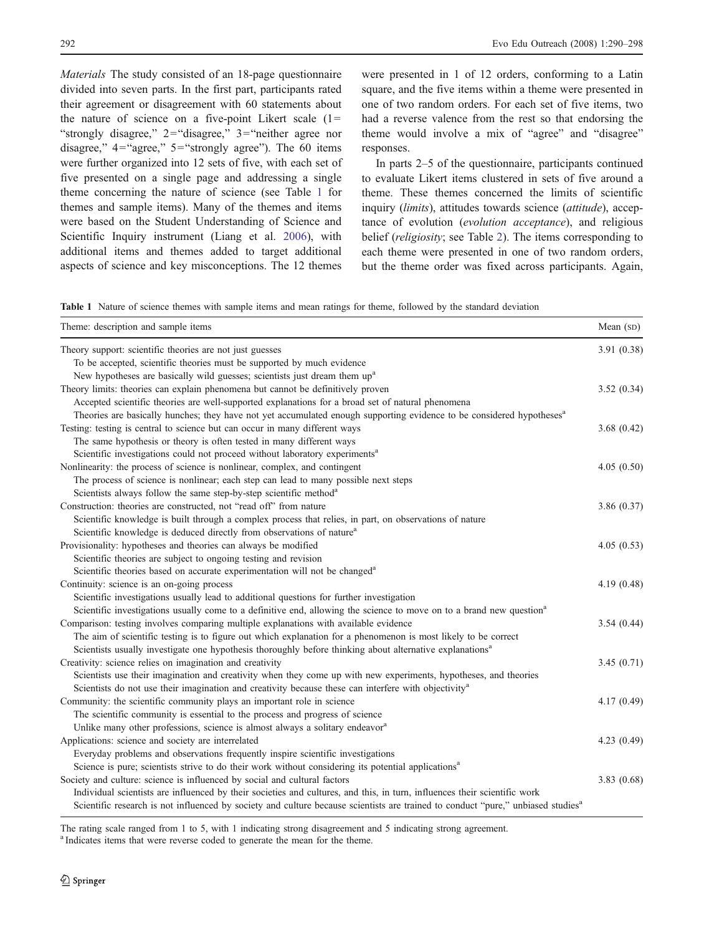<span id="page-2-0"></span>Materials The study consisted of an 18-page questionnaire divided into seven parts. In the first part, participants rated their agreement or disagreement with 60 statements about the nature of science on a five-point Likert scale  $(1=$ "strongly disagree," 2="disagree," 3="neither agree nor disagree," 4="agree," 5="strongly agree"). The 60 items were further organized into 12 sets of five, with each set of five presented on a single page and addressing a single theme concerning the nature of science (see Table 1 for themes and sample items). Many of the themes and items were based on the Student Understanding of Science and Scientific Inquiry instrument (Liang et al. [2006\)](#page-7-0), with additional items and themes added to target additional aspects of science and key misconceptions. The 12 themes were presented in 1 of 12 orders, conforming to a Latin square, and the five items within a theme were presented in one of two random orders. For each set of five items, two had a reverse valence from the rest so that endorsing the theme would involve a mix of "agree" and "disagree" responses.

In parts 2–5 of the questionnaire, participants continued to evaluate Likert items clustered in sets of five around a theme. These themes concerned the limits of scientific inquiry (limits), attitudes towards science (*attitude*), acceptance of evolution (evolution acceptance), and religious belief (*religiosity*; see Table [2](#page-3-0)). The items corresponding to each theme were presented in one of two random orders, but the theme order was fixed across participants. Again,

Table 1 Nature of science themes with sample items and mean ratings for theme, followed by the standard deviation

| Theme: description and sample items                                                                                                          | Mean $(SD)$ |
|----------------------------------------------------------------------------------------------------------------------------------------------|-------------|
| Theory support: scientific theories are not just guesses                                                                                     | 3.91(0.38)  |
| To be accepted, scientific theories must be supported by much evidence                                                                       |             |
| New hypotheses are basically wild guesses; scientists just dream them up <sup>a</sup>                                                        |             |
| Theory limits: theories can explain phenomena but cannot be definitively proven                                                              | 3.52(0.34)  |
| Accepted scientific theories are well-supported explanations for a broad set of natural phenomena                                            |             |
| Theories are basically hunches; they have not yet accumulated enough supporting evidence to be considered hypotheses <sup>a</sup>            |             |
| Testing: testing is central to science but can occur in many different ways                                                                  | 3.68(0.42)  |
| The same hypothesis or theory is often tested in many different ways                                                                         |             |
| Scientific investigations could not proceed without laboratory experiments <sup>a</sup>                                                      |             |
| Nonlinearity: the process of science is nonlinear, complex, and contingent                                                                   | 4.05(0.50)  |
| The process of science is nonlinear; each step can lead to many possible next steps                                                          |             |
| Scientists always follow the same step-by-step scientific method <sup>a</sup>                                                                |             |
| Construction: theories are constructed, not "read off" from nature                                                                           | 3.86(0.37)  |
| Scientific knowledge is built through a complex process that relies, in part, on observations of nature                                      |             |
| Scientific knowledge is deduced directly from observations of nature <sup>a</sup>                                                            |             |
| Provisionality: hypotheses and theories can always be modified                                                                               | 4.05(0.53)  |
| Scientific theories are subject to ongoing testing and revision                                                                              |             |
| Scientific theories based on accurate experimentation will not be changed <sup>a</sup>                                                       |             |
| Continuity: science is an on-going process                                                                                                   | 4.19(0.48)  |
| Scientific investigations usually lead to additional questions for further investigation                                                     |             |
| Scientific investigations usually come to a definitive end, allowing the science to move on to a brand new question <sup>a</sup>             |             |
| Comparison: testing involves comparing multiple explanations with available evidence                                                         | 3.54(0.44)  |
| The aim of scientific testing is to figure out which explanation for a phenomenon is most likely to be correct                               |             |
| Scientists usually investigate one hypothesis thoroughly before thinking about alternative explanations <sup>a</sup>                         |             |
| Creativity: science relies on imagination and creativity                                                                                     | 3.45(0.71)  |
| Scientists use their imagination and creativity when they come up with new experiments, hypotheses, and theories                             |             |
| Scientists do not use their imagination and creativity because these can interfere with objectivity <sup>a</sup>                             |             |
| Community: the scientific community plays an important role in science                                                                       | 4.17(0.49)  |
| The scientific community is essential to the process and progress of science                                                                 |             |
| Unlike many other professions, science is almost always a solitary endeavor <sup>a</sup>                                                     |             |
| Applications: science and society are interrelated                                                                                           | 4.23(0.49)  |
| Everyday problems and observations frequently inspire scientific investigations                                                              |             |
| Science is pure; scientists strive to do their work without considering its potential applications <sup>a</sup>                              |             |
| Society and culture: science is influenced by social and cultural factors                                                                    | 3.83(0.68)  |
| Individual scientists are influenced by their societies and cultures, and this, in turn, influences their scientific work                    |             |
| Scientific research is not influenced by society and culture because scientists are trained to conduct "pure," unbiased studies <sup>a</sup> |             |

The rating scale ranged from 1 to 5, with 1 indicating strong disagreement and 5 indicating strong agreement.

<sup>a</sup> Indicates items that were reverse coded to generate the mean for the theme.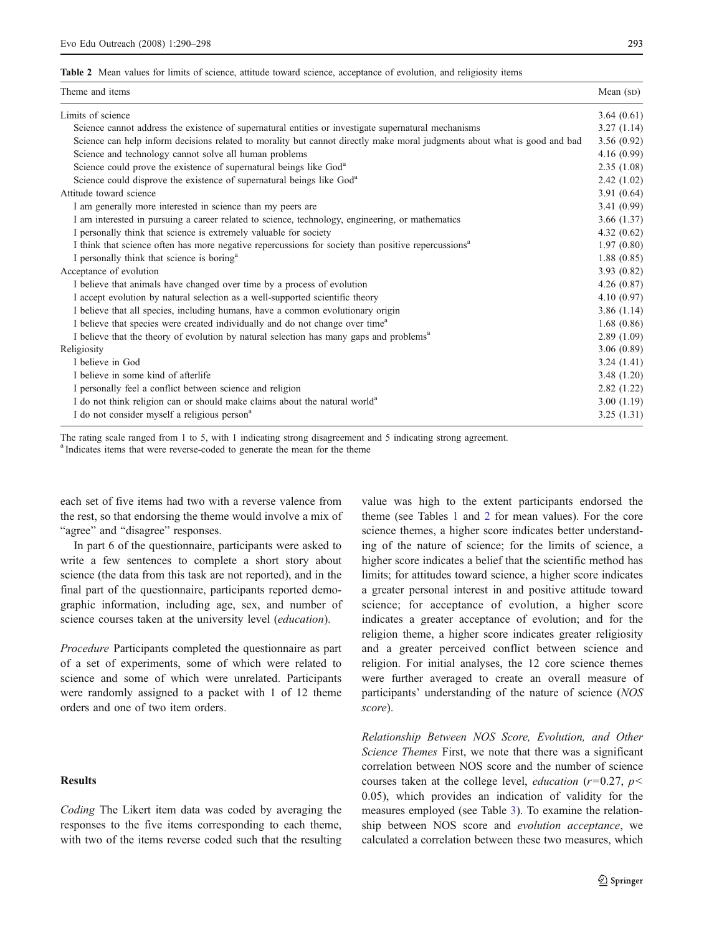#### <span id="page-3-0"></span>Table 2 Mean values for limits of science, attitude toward science, acceptance of evolution, and religiosity items

| Theme and items                                                                                                           | Mean $(SD)$ |
|---------------------------------------------------------------------------------------------------------------------------|-------------|
| Limits of science                                                                                                         | 3.64(0.61)  |
| Science cannot address the existence of supernatural entities or investigate supernatural mechanisms                      | 3.27(1.14)  |
| Science can help inform decisions related to morality but cannot directly make moral judgments about what is good and bad | 3.56(0.92)  |
| Science and technology cannot solve all human problems                                                                    | 4.16 (0.99) |
| Science could prove the existence of supernatural beings like God <sup>a</sup>                                            | 2.35(1.08)  |
| Science could disprove the existence of supernatural beings like God <sup>a</sup>                                         | 2.42(1.02)  |
| Attitude toward science                                                                                                   | 3.91(0.64)  |
| I am generally more interested in science than my peers are                                                               | 3.41(0.99)  |
| I am interested in pursuing a career related to science, technology, engineering, or mathematics                          | 3.66(1.37)  |
| I personally think that science is extremely valuable for society                                                         | 4.32(0.62)  |
| I think that science often has more negative repercussions for society than positive repercussions <sup>a</sup>           | 1.97(0.80)  |
| I personally think that science is boring <sup>a</sup>                                                                    | 1.88(0.85)  |
| Acceptance of evolution                                                                                                   | 3.93(0.82)  |
| I believe that animals have changed over time by a process of evolution                                                   | 4.26(0.87)  |
| I accept evolution by natural selection as a well-supported scientific theory                                             | 4.10(0.97)  |
| I believe that all species, including humans, have a common evolutionary origin                                           | 3.86(1.14)  |
| I believe that species were created individually and do not change over time <sup>a</sup>                                 | 1.68(0.86)  |
| I believe that the theory of evolution by natural selection has many gaps and problems <sup>a</sup>                       | 2.89(1.09)  |
| Religiosity                                                                                                               | 3.06(0.89)  |
| I believe in God                                                                                                          | 3.24(1.41)  |
| I believe in some kind of afterlife                                                                                       | 3.48(1.20)  |
| I personally feel a conflict between science and religion                                                                 | 2.82(1.22)  |
| I do not think religion can or should make claims about the natural world <sup>a</sup>                                    | 3.00(1.19)  |
| I do not consider myself a religious person <sup>a</sup>                                                                  | 3.25(1.31)  |

The rating scale ranged from 1 to 5, with 1 indicating strong disagreement and 5 indicating strong agreement.

<sup>a</sup> Indicates items that were reverse-coded to generate the mean for the theme

each set of five items had two with a reverse valence from the rest, so that endorsing the theme would involve a mix of "agree" and "disagree" responses.

In part 6 of the questionnaire, participants were asked to write a few sentences to complete a short story about science (the data from this task are not reported), and in the final part of the questionnaire, participants reported demographic information, including age, sex, and number of science courses taken at the university level (education).

Procedure Participants completed the questionnaire as part of a set of experiments, some of which were related to science and some of which were unrelated. Participants were randomly assigned to a packet with 1 of 12 theme orders and one of two item orders.

# Results

Coding The Likert item data was coded by averaging the responses to the five items corresponding to each theme, with two of the items reverse coded such that the resulting value was high to the extent participants endorsed the theme (see Tables [1](#page-2-0) and 2 for mean values). For the core science themes, a higher score indicates better understanding of the nature of science; for the limits of science, a higher score indicates a belief that the scientific method has limits; for attitudes toward science, a higher score indicates a greater personal interest in and positive attitude toward science; for acceptance of evolution, a higher score indicates a greater acceptance of evolution; and for the religion theme, a higher score indicates greater religiosity and a greater perceived conflict between science and religion. For initial analyses, the 12 core science themes were further averaged to create an overall measure of participants' understanding of the nature of science (NOS score).

Relationship Between NOS Score, Evolution, and Other Science Themes First, we note that there was a significant correlation between NOS score and the number of science courses taken at the college level, *education* ( $r=0.27$ ,  $p<$ 0.05), which provides an indication of validity for the measures employed (see Table [3\)](#page-4-0). To examine the relationship between NOS score and evolution acceptance, we calculated a correlation between these two measures, which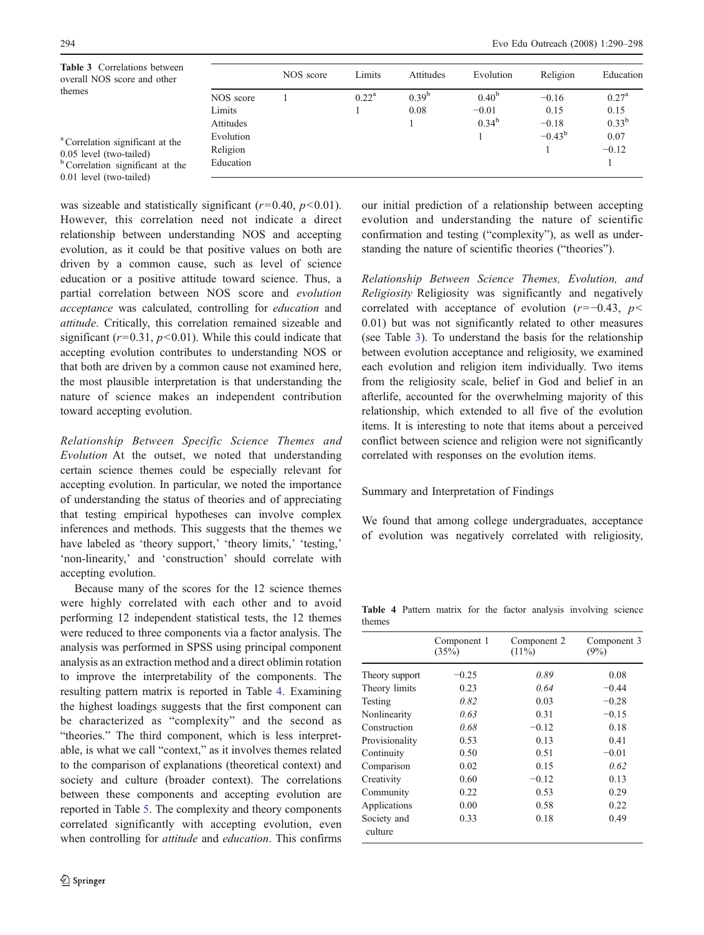0.01 level (two-tailed)

<span id="page-4-0"></span>

| <b>Table 3</b> Correlations between<br>overall NOS score and other<br>themes |           | NOS score | Limits         | Attitudes  | Evolution  | Religion    | Education      |
|------------------------------------------------------------------------------|-----------|-----------|----------------|------------|------------|-------------|----------------|
|                                                                              | NOS score |           | $0.22^{\rm a}$ | $0.39^{b}$ | $0.40^{b}$ | $-0.16$     | $0.27^{\rm a}$ |
|                                                                              | Limits    |           |                | 0.08       | $-0.01$    | 0.15        | 0.15           |
|                                                                              | Attitudes |           |                |            | $0.34^{b}$ | $-0.18$     | $0.33^{b}$     |
| <sup>a</sup> Correlation significant at the<br>0.05 level (two-tailed)       | Evolution |           |                |            |            | $-0.43^{b}$ | 0.07           |
|                                                                              | Religion  |           |                |            |            |             | $-0.12$        |
| <sup>b</sup> Correlation significant at the                                  | Education |           |                |            |            |             |                |
| $0.01$ level $(two-tailed)$                                                  |           |           |                |            |            |             |                |

was sizeable and statistically significant ( $r=0.40$ ,  $p<0.01$ ). However, this correlation need not indicate a direct relationship between understanding NOS and accepting evolution, as it could be that positive values on both are driven by a common cause, such as level of science education or a positive attitude toward science. Thus, a partial correlation between NOS score and evolution acceptance was calculated, controlling for education and attitude. Critically, this correlation remained sizeable and significant ( $r=0.31$ ,  $p<0.01$ ). While this could indicate that accepting evolution contributes to understanding NOS or that both are driven by a common cause not examined here, the most plausible interpretation is that understanding the nature of science makes an independent contribution toward accepting evolution.

Relationship Between Specific Science Themes and Evolution At the outset, we noted that understanding certain science themes could be especially relevant for accepting evolution. In particular, we noted the importance of understanding the status of theories and of appreciating that testing empirical hypotheses can involve complex inferences and methods. This suggests that the themes we have labeled as 'theory support,' 'theory limits,' 'testing,' 'non-linearity,' and 'construction' should correlate with accepting evolution.

Because many of the scores for the 12 science themes were highly correlated with each other and to avoid performing 12 independent statistical tests, the 12 themes were reduced to three components via a factor analysis. The analysis was performed in SPSS using principal component analysis as an extraction method and a direct oblimin rotation to improve the interpretability of the components. The resulting pattern matrix is reported in Table 4. Examining the highest loadings suggests that the first component can be characterized as "complexity" and the second as "theories." The third component, which is less interpretable, is what we call "context," as it involves themes related to the comparison of explanations (theoretical context) and society and culture (broader context). The correlations between these components and accepting evolution are reported in Table [5](#page-5-0). The complexity and theory components correlated significantly with accepting evolution, even when controlling for *attitude* and *education*. This confirms our initial prediction of a relationship between accepting evolution and understanding the nature of scientific confirmation and testing ("complexity"), as well as understanding the nature of scientific theories ("theories").

Relationship Between Science Themes, Evolution, and Religiosity Religiosity was significantly and negatively correlated with acceptance of evolution  $(r=-0.43, p<$ 0.01) but was not significantly related to other measures (see Table 3). To understand the basis for the relationship between evolution acceptance and religiosity, we examined each evolution and religion item individually. Two items from the religiosity scale, belief in God and belief in an afterlife, accounted for the overwhelming majority of this relationship, which extended to all five of the evolution items. It is interesting to note that items about a perceived conflict between science and religion were not significantly correlated with responses on the evolution items.

# Summary and Interpretation of Findings

We found that among college undergraduates, acceptance of evolution was negatively correlated with religiosity,

Table 4 Pattern matrix for the factor analysis involving science themes

|                        | Component 1<br>(35%) | Component 2<br>$(11\%)$ | Component 3<br>(9%) |
|------------------------|----------------------|-------------------------|---------------------|
| Theory support         | $-0.25$              | 0.89                    | 0.08                |
| Theory limits          | 0.23                 | 0.64                    | $-0.44$             |
| Testing                | 0.82                 | 0.03                    | $-0.28$             |
| Nonlinearity           | 0.63                 | 0.31                    | $-0.15$             |
| Construction           | 0.68                 | $-0.12$                 | 0.18                |
| Provisionality         | 0.53                 | 0.13                    | 0.41                |
| Continuity             | 0.50                 | 0.51                    | $-0.01$             |
| Comparison             | 0.02                 | 0.15                    | 0.62                |
| Creativity             | 0.60                 | $-0.12$                 | 0.13                |
| Community              | 0.22                 | 0.53                    | 0.29                |
| Applications           | 0.00                 | 0.58                    | 0.22                |
| Society and<br>culture | 0.33                 | 0.18                    | 0.49                |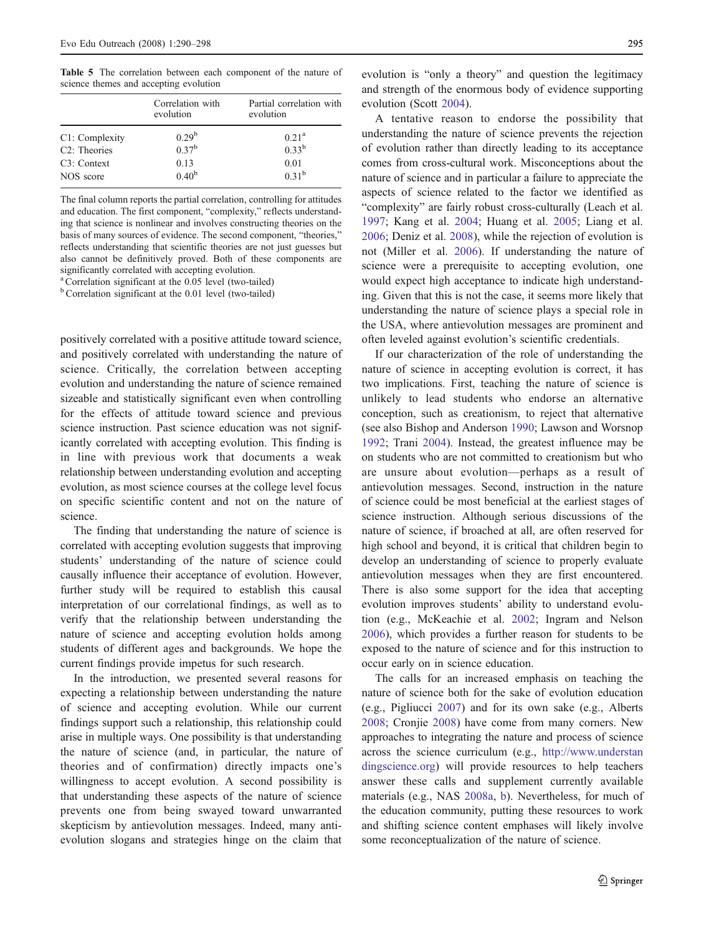<span id="page-5-0"></span>Table 5 The correlation between each component of the nature of science themes and accepting evolution

|                           | Correlation with<br>evolution | Partial correlation with<br>evolution |
|---------------------------|-------------------------------|---------------------------------------|
| C1: Complexity            | $0.29^b$                      | 0.21 <sup>a</sup>                     |
| C <sub>2</sub> : Theories | $0.37^{b}$                    | $0.33^{b}$                            |
| $C3:$ Context             | 0.13                          | 0.01                                  |
| NOS score                 | $0.40^{b}$                    | $0.31^{b}$                            |

The final column reports the partial correlation, controlling for attitudes and education. The first component, "complexity," reflects understanding that science is nonlinear and involves constructing theories on the basis of many sources of evidence. The second component, "theories," reflects understanding that scientific theories are not just guesses but also cannot be definitively proved. Both of these components are significantly correlated with accepting evolution.

<sup>a</sup> Correlation significant at the 0.05 level (two-tailed)

 $b$  Correlation significant at the 0.01 level (two-tailed)

positively correlated with a positive attitude toward science, and positively correlated with understanding the nature of science. Critically, the correlation between accepting evolution and understanding the nature of science remained sizeable and statistically significant even when controlling for the effects of attitude toward science and previous science instruction. Past science education was not significantly correlated with accepting evolution. This finding is in line with previous work that documents a weak relationship between understanding evolution and accepting evolution, as most science courses at the college level focus on specific scientific content and not on the nature of science.

The finding that understanding the nature of science is correlated with accepting evolution suggests that improving students' understanding of the nature of science could causally influence their acceptance of evolution. However, further study will be required to establish this causal interpretation of our correlational findings, as well as to verify that the relationship between understanding the nature of science and accepting evolution holds among students of different ages and backgrounds. We hope the current findings provide impetus for such research.

In the introduction, we presented several reasons for expecting a relationship between understanding the nature of science and accepting evolution. While our current findings support such a relationship, this relationship could arise in multiple ways. One possibility is that understanding the nature of science (and, in particular, the nature of theories and of confirmation) directly impacts one's willingness to accept evolution. A second possibility is that understanding these aspects of the nature of science prevents one from being swayed toward unwarranted skepticism by antievolution messages. Indeed, many antievolution slogans and strategies hinge on the claim that

evolution is "only a theory" and question the legitimacy and strength of the enormous body of evidence supporting evolution (Scott [2004\)](#page-8-0).

A tentative reason to endorse the possibility that understanding the nature of science prevents the rejection of evolution rather than directly leading to its acceptance comes from cross-cultural work. Misconceptions about the nature of science and in particular a failure to appreciate the aspects of science related to the factor we identified as "complexity" are fairly robust cross-culturally (Leach et al. [1997](#page-7-0); Kang et al. [2004;](#page-7-0) Huang et al. [2005](#page-7-0); Liang et al. [2006](#page-7-0); Deniz et al. [2008\)](#page-7-0), while the rejection of evolution is not (Miller et al. [2006](#page-8-0)). If understanding the nature of science were a prerequisite to accepting evolution, one would expect high acceptance to indicate high understanding. Given that this is not the case, it seems more likely that understanding the nature of science plays a special role in the USA, where antievolution messages are prominent and often leveled against evolution's scientific credentials.

If our characterization of the role of understanding the nature of science in accepting evolution is correct, it has two implications. First, teaching the nature of science is unlikely to lead students who endorse an alternative conception, such as creationism, to reject that alternative (see also Bishop and Anderson [1990](#page-7-0); Lawson and Worsnop [1992](#page-7-0); Trani [2004\)](#page-8-0). Instead, the greatest influence may be on students who are not committed to creationism but who are unsure about evolution—perhaps as a result of antievolution messages. Second, instruction in the nature of science could be most beneficial at the earliest stages of science instruction. Although serious discussions of the nature of science, if broached at all, are often reserved for high school and beyond, it is critical that children begin to develop an understanding of science to properly evaluate antievolution messages when they are first encountered. There is also some support for the idea that accepting evolution improves students' ability to understand evolution (e.g., McKeachie et al. [2002](#page-8-0); Ingram and Nelson [2006](#page-7-0)), which provides a further reason for students to be exposed to the nature of science and for this instruction to occur early on in science education.

The calls for an increased emphasis on teaching the nature of science both for the sake of evolution education (e.g., Pigliucci [2007](#page-8-0)) and for its own sake (e.g., Alberts [2008](#page-7-0); Cronjie [2008](#page-7-0)) have come from many corners. New approaches to integrating the nature and process of science across the science curriculum (e.g., [http://www.understan](http://www.understandingscience.org) [dingscience.org](http://www.understandingscience.org)) will provide resources to help teachers answer these calls and supplement currently available materials (e.g., NAS [2008a](#page-8-0), [b\)](#page-8-0). Nevertheless, for much of the education community, putting these resources to work and shifting science content emphases will likely involve some reconceptualization of the nature of science.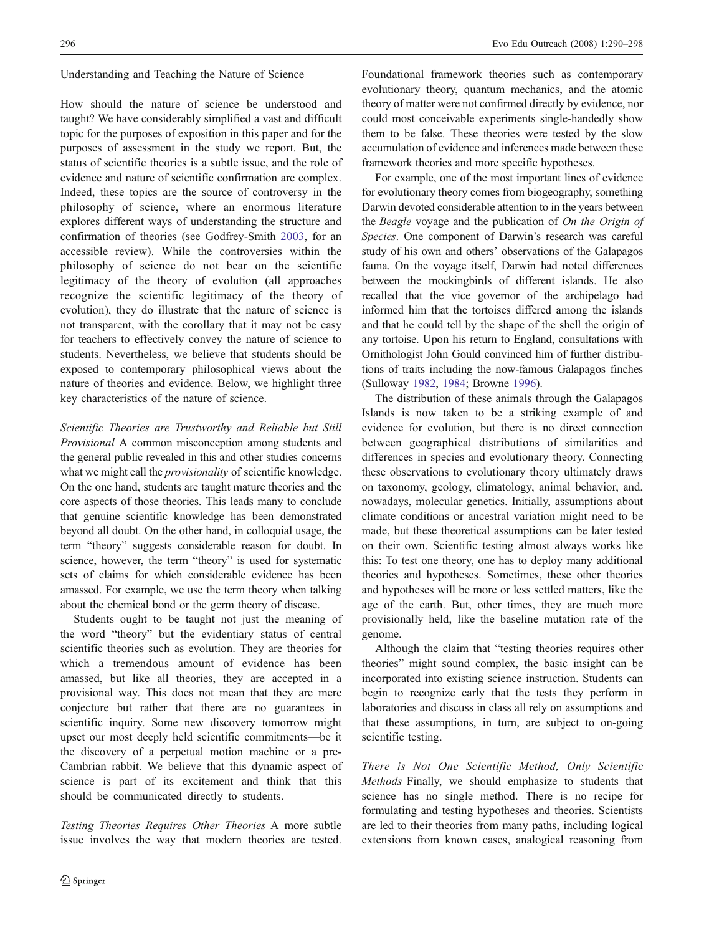## Understanding and Teaching the Nature of Science

How should the nature of science be understood and taught? We have considerably simplified a vast and difficult topic for the purposes of exposition in this paper and for the purposes of assessment in the study we report. But, the status of scientific theories is a subtle issue, and the role of evidence and nature of scientific confirmation are complex. Indeed, these topics are the source of controversy in the philosophy of science, where an enormous literature explores different ways of understanding the structure and confirmation of theories (see Godfrey-Smith [2003,](#page-7-0) for an accessible review). While the controversies within the philosophy of science do not bear on the scientific legitimacy of the theory of evolution (all approaches recognize the scientific legitimacy of the theory of evolution), they do illustrate that the nature of science is not transparent, with the corollary that it may not be easy for teachers to effectively convey the nature of science to students. Nevertheless, we believe that students should be exposed to contemporary philosophical views about the nature of theories and evidence. Below, we highlight three key characteristics of the nature of science.

Scientific Theories are Trustworthy and Reliable but Still Provisional A common misconception among students and the general public revealed in this and other studies concerns what we might call the *provisionality* of scientific knowledge. On the one hand, students are taught mature theories and the core aspects of those theories. This leads many to conclude that genuine scientific knowledge has been demonstrated beyond all doubt. On the other hand, in colloquial usage, the term "theory" suggests considerable reason for doubt. In science, however, the term "theory" is used for systematic sets of claims for which considerable evidence has been amassed. For example, we use the term theory when talking about the chemical bond or the germ theory of disease.

Students ought to be taught not just the meaning of the word "theory" but the evidentiary status of central scientific theories such as evolution. They are theories for which a tremendous amount of evidence has been amassed, but like all theories, they are accepted in a provisional way. This does not mean that they are mere conjecture but rather that there are no guarantees in scientific inquiry. Some new discovery tomorrow might upset our most deeply held scientific commitments—be it the discovery of a perpetual motion machine or a pre-Cambrian rabbit. We believe that this dynamic aspect of science is part of its excitement and think that this should be communicated directly to students.

Testing Theories Requires Other Theories A more subtle issue involves the way that modern theories are tested.

Foundational framework theories such as contemporary evolutionary theory, quantum mechanics, and the atomic theory of matter were not confirmed directly by evidence, nor could most conceivable experiments single-handedly show them to be false. These theories were tested by the slow accumulation of evidence and inferences made between these framework theories and more specific hypotheses.

For example, one of the most important lines of evidence for evolutionary theory comes from biogeography, something Darwin devoted considerable attention to in the years between the Beagle voyage and the publication of On the Origin of Species. One component of Darwin's research was careful study of his own and others' observations of the Galapagos fauna. On the voyage itself, Darwin had noted differences between the mockingbirds of different islands. He also recalled that the vice governor of the archipelago had informed him that the tortoises differed among the islands and that he could tell by the shape of the shell the origin of any tortoise. Upon his return to England, consultations with Ornithologist John Gould convinced him of further distributions of traits including the now-famous Galapagos finches (Sulloway [1982,](#page-8-0) [1984](#page-8-0); Browne [1996\)](#page-7-0).

The distribution of these animals through the Galapagos Islands is now taken to be a striking example of and evidence for evolution, but there is no direct connection between geographical distributions of similarities and differences in species and evolutionary theory. Connecting these observations to evolutionary theory ultimately draws on taxonomy, geology, climatology, animal behavior, and, nowadays, molecular genetics. Initially, assumptions about climate conditions or ancestral variation might need to be made, but these theoretical assumptions can be later tested on their own. Scientific testing almost always works like this: To test one theory, one has to deploy many additional theories and hypotheses. Sometimes, these other theories and hypotheses will be more or less settled matters, like the age of the earth. But, other times, they are much more provisionally held, like the baseline mutation rate of the genome.

Although the claim that "testing theories requires other theories" might sound complex, the basic insight can be incorporated into existing science instruction. Students can begin to recognize early that the tests they perform in laboratories and discuss in class all rely on assumptions and that these assumptions, in turn, are subject to on-going scientific testing.

There is Not One Scientific Method, Only Scientific Methods Finally, we should emphasize to students that science has no single method. There is no recipe for formulating and testing hypotheses and theories. Scientists are led to their theories from many paths, including logical extensions from known cases, analogical reasoning from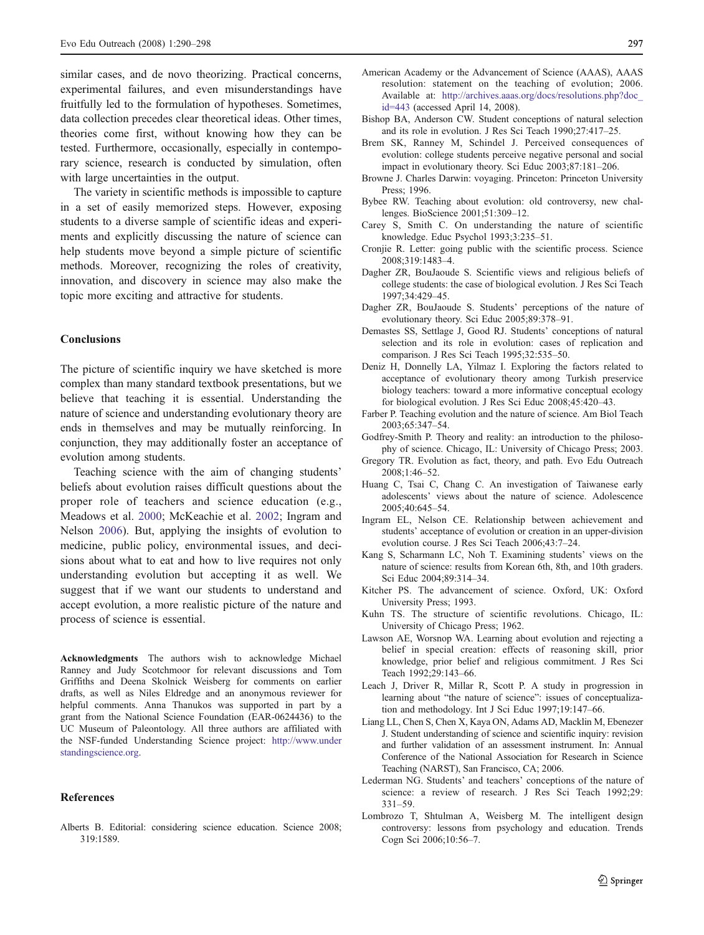<span id="page-7-0"></span>similar cases, and de novo theorizing. Practical concerns, experimental failures, and even misunderstandings have fruitfully led to the formulation of hypotheses. Sometimes, data collection precedes clear theoretical ideas. Other times, theories come first, without knowing how they can be tested. Furthermore, occasionally, especially in contemporary science, research is conducted by simulation, often with large uncertainties in the output.

The variety in scientific methods is impossible to capture in a set of easily memorized steps. However, exposing students to a diverse sample of scientific ideas and experiments and explicitly discussing the nature of science can help students move beyond a simple picture of scientific methods. Moreover, recognizing the roles of creativity, innovation, and discovery in science may also make the topic more exciting and attractive for students.

### **Conclusions**

The picture of scientific inquiry we have sketched is more complex than many standard textbook presentations, but we believe that teaching it is essential. Understanding the nature of science and understanding evolutionary theory are ends in themselves and may be mutually reinforcing. In conjunction, they may additionally foster an acceptance of evolution among students.

Teaching science with the aim of changing students' beliefs about evolution raises difficult questions about the proper role of teachers and science education (e.g., Meadows et al. [2000](#page-8-0); McKeachie et al. [2002](#page-8-0); Ingram and Nelson 2006). But, applying the insights of evolution to medicine, public policy, environmental issues, and decisions about what to eat and how to live requires not only understanding evolution but accepting it as well. We suggest that if we want our students to understand and accept evolution, a more realistic picture of the nature and process of science is essential.

Acknowledgments The authors wish to acknowledge Michael Ranney and Judy Scotchmoor for relevant discussions and Tom Griffiths and Deena Skolnick Weisberg for comments on earlier drafts, as well as Niles Eldredge and an anonymous reviewer for helpful comments. Anna Thanukos was supported in part by a grant from the National Science Foundation (EAR-0624436) to the UC Museum of Paleontology. All three authors are affiliated with the NSF-funded Understanding Science project: [http://www.under](http://www.understandingscience.org) [standingscience.org](http://www.understandingscience.org).

# **References**

Alberts B. Editorial: considering science education. Science 2008; 319:1589.

- American Academy or the Advancement of Science (AAAS), AAAS resolution: statement on the teaching of evolution; 2006. Available at: [http://archives.aaas.org/docs/resolutions.php?doc\\_](http://archives.aaas.org/docs/resolutions.php?doc_id=443) [id=443](http://archives.aaas.org/docs/resolutions.php?doc_id=443) (accessed April 14, 2008).
- Bishop BA, Anderson CW. Student conceptions of natural selection and its role in evolution. J Res Sci Teach 1990;27:417–25.
- Brem SK, Ranney M, Schindel J. Perceived consequences of evolution: college students perceive negative personal and social impact in evolutionary theory. Sci Educ 2003;87:181–206.
- Browne J. Charles Darwin: voyaging. Princeton: Princeton University Press; 1996.
- Bybee RW. Teaching about evolution: old controversy, new challenges. BioScience 2001;51:309–12.
- Carey S, Smith C. On understanding the nature of scientific knowledge. Educ Psychol 1993;3:235–51.
- Cronjie R. Letter: going public with the scientific process. Science 2008;319:1483–4.
- Dagher ZR, BouJaoude S. Scientific views and religious beliefs of college students: the case of biological evolution. J Res Sci Teach 1997;34:429–45.
- Dagher ZR, BouJaoude S. Students' perceptions of the nature of evolutionary theory. Sci Educ 2005;89:378–91.
- Demastes SS, Settlage J, Good RJ. Students' conceptions of natural selection and its role in evolution: cases of replication and comparison. J Res Sci Teach 1995;32:535–50.
- Deniz H, Donnelly LA, Yilmaz I. Exploring the factors related to acceptance of evolutionary theory among Turkish preservice biology teachers: toward a more informative conceptual ecology for biological evolution. J Res Sci Educ 2008;45:420–43.
- Farber P. Teaching evolution and the nature of science. Am Biol Teach 2003;65:347–54.
- Godfrey-Smith P. Theory and reality: an introduction to the philosophy of science. Chicago, IL: University of Chicago Press; 2003.
- Gregory TR. Evolution as fact, theory, and path. Evo Edu Outreach 2008;1:46–52.
- Huang C, Tsai C, Chang C. An investigation of Taiwanese early adolescents' views about the nature of science. Adolescence 2005;40:645–54.
- Ingram EL, Nelson CE. Relationship between achievement and students' acceptance of evolution or creation in an upper-division evolution course. J Res Sci Teach 2006;43:7–24.
- Kang S, Scharmann LC, Noh T. Examining students' views on the nature of science: results from Korean 6th, 8th, and 10th graders. Sci Educ 2004;89:314–34.
- Kitcher PS. The advancement of science. Oxford, UK: Oxford University Press; 1993.
- Kuhn TS. The structure of scientific revolutions. Chicago, IL: University of Chicago Press; 1962.
- Lawson AE, Worsnop WA. Learning about evolution and rejecting a belief in special creation: effects of reasoning skill, prior knowledge, prior belief and religious commitment. J Res Sci Teach 1992;29:143–66.
- Leach J, Driver R, Millar R, Scott P. A study in progression in learning about "the nature of science": issues of conceptualization and methodology. Int J Sci Educ 1997;19:147–66.
- Liang LL, Chen S, Chen X, Kaya ON, Adams AD, Macklin M, Ebenezer J. Student understanding of science and scientific inquiry: revision and further validation of an assessment instrument. In: Annual Conference of the National Association for Research in Science Teaching (NARST), San Francisco, CA; 2006.
- Lederman NG. Students' and teachers' conceptions of the nature of science: a review of research. J Res Sci Teach 1992;29: 331–59.
- Lombrozo T, Shtulman A, Weisberg M. The intelligent design controversy: lessons from psychology and education. Trends Cogn Sci 2006;10:56–7.